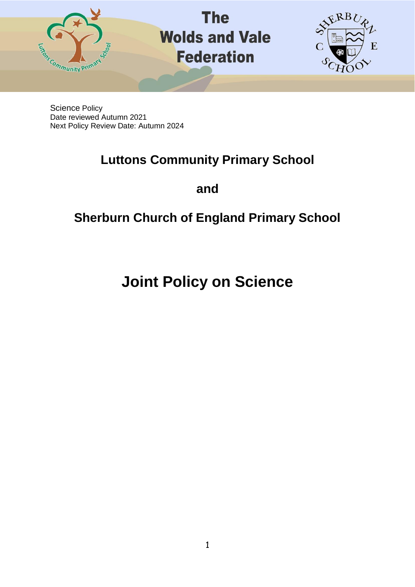

**The Wolds and Vale Federation** 



Science Policy Date reviewed Autumn 2021 Next Policy Review Date: Autumn 2024

# **Luttons Community Primary School**

**and**

# **Sherburn Church of England Primary School**

**Joint Policy on Science**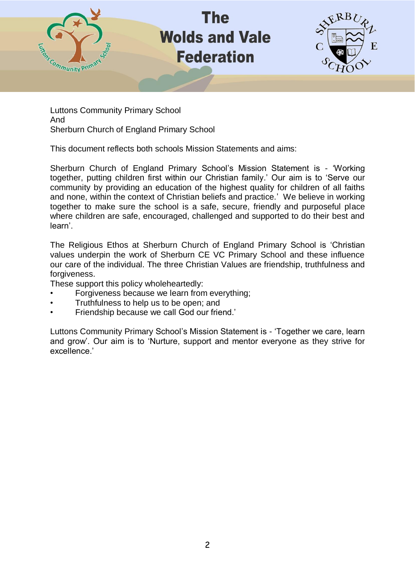

Luttons Community Primary School And Sherburn Church of England Primary School

This document reflects both schools Mission Statements and aims:

Sherburn Church of England Primary School's Mission Statement is - 'Working together, putting children first within our Christian family.' Our aim is to 'Serve our community by providing an education of the highest quality for children of all faiths and none, within the context of Christian beliefs and practice.' We believe in working together to make sure the school is a safe, secure, friendly and purposeful place where children are safe, encouraged, challenged and supported to do their best and learn'.

The Religious Ethos at Sherburn Church of England Primary School is 'Christian values underpin the work of Sherburn CE VC Primary School and these influence our care of the individual. The three Christian Values are friendship, truthfulness and forgiveness.

These support this policy wholeheartedly:

- Forgiveness because we learn from everything;
- Truthfulness to help us to be open; and
- Friendship because we call God our friend.'

Luttons Community Primary School's Mission Statement is - 'Together we care, learn and grow'. Our aim is to 'Nurture, support and mentor everyone as they strive for excellence.'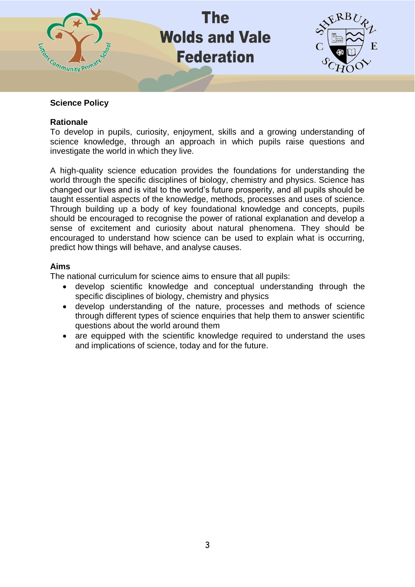

# **Science Policy**

# **Rationale**

To develop in pupils, curiosity, enjoyment, skills and a growing understanding of science knowledge, through an approach in which pupils raise questions and investigate the world in which they live.

A high-quality science education provides the foundations for understanding the world through the specific disciplines of biology, chemistry and physics. Science has changed our lives and is vital to the world's future prosperity, and all pupils should be taught essential aspects of the knowledge, methods, processes and uses of science. Through building up a body of key foundational knowledge and concepts, pupils should be encouraged to recognise the power of rational explanation and develop a sense of excitement and curiosity about natural phenomena. They should be encouraged to understand how science can be used to explain what is occurring, predict how things will behave, and analyse causes.

#### **Aims**

The national curriculum for science aims to ensure that all pupils:

- develop scientific knowledge and conceptual understanding through the specific disciplines of biology, chemistry and physics
- develop understanding of the nature, processes and methods of science through different types of science enquiries that help them to answer scientific questions about the world around them
- are equipped with the scientific knowledge required to understand the uses and implications of science, today and for the future.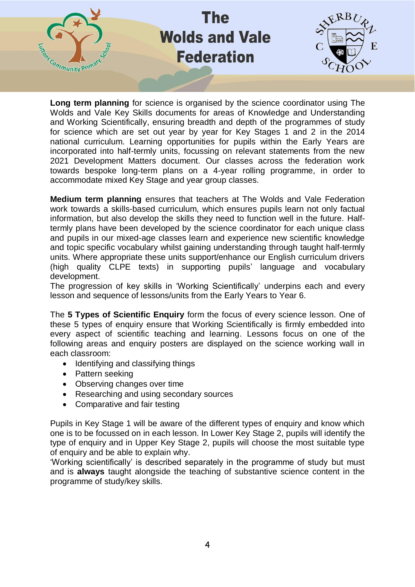

**Long term planning** for science is organised by the science coordinator using The Wolds and Vale Key Skills documents for areas of Knowledge and Understanding and Working Scientifically, ensuring breadth and depth of the programmes of study for science which are set out year by year for Key Stages 1 and 2 in the 2014 national curriculum. Learning opportunities for pupils within the Early Years are incorporated into half-termly units, focussing on relevant statements from the new 2021 Development Matters document. Our classes across the federation work towards bespoke long-term plans on a 4-year rolling programme, in order to accommodate mixed Key Stage and year group classes.

**Medium term planning** ensures that teachers at The Wolds and Vale Federation work towards a skills-based curriculum, which ensures pupils learn not only factual information, but also develop the skills they need to function well in the future. Halftermly plans have been developed by the science coordinator for each unique class and pupils in our mixed-age classes learn and experience new scientific knowledge and topic specific vocabulary whilst gaining understanding through taught half-termly units. Where appropriate these units support/enhance our English curriculum drivers (high quality CLPE texts) in supporting pupils' language and vocabulary development.

The progression of key skills in 'Working Scientifically' underpins each and every lesson and sequence of lessons/units from the Early Years to Year 6.

The **5 Types of Scientific Enquiry** form the focus of every science lesson. One of these 5 types of enquiry ensure that Working Scientifically is firmly embedded into every aspect of scientific teaching and learning. Lessons focus on one of the following areas and enquiry posters are displayed on the science working wall in each classroom:

- Identifying and classifying things
- Pattern seeking
- Observing changes over time
- Researching and using secondary sources
- Comparative and fair testing

Pupils in Key Stage 1 will be aware of the different types of enquiry and know which one is to be focussed on in each lesson. In Lower Key Stage 2, pupils will identify the type of enquiry and in Upper Key Stage 2, pupils will choose the most suitable type of enquiry and be able to explain why.

'Working scientifically' is described separately in the programme of study but must and is **always** taught alongside the teaching of substantive science content in the programme of study/key skills.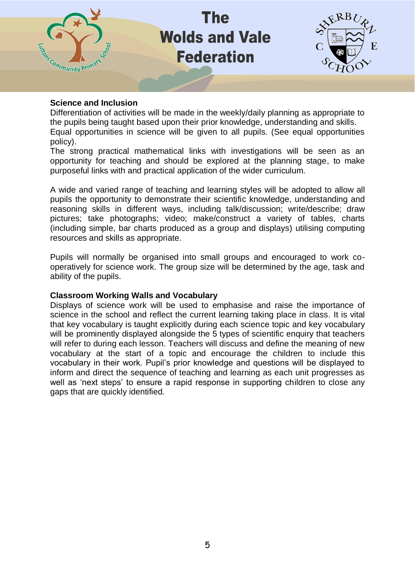

### **Science and Inclusion**

Differentiation of activities will be made in the weekly/daily planning as appropriate to the pupils being taught based upon their prior knowledge, understanding and skills. Equal opportunities in science will be given to all pupils. (See equal opportunities policy).

The strong practical mathematical links with investigations will be seen as an opportunity for teaching and should be explored at the planning stage, to make purposeful links with and practical application of the wider curriculum.

A wide and varied range of teaching and learning styles will be adopted to allow all pupils the opportunity to demonstrate their scientific knowledge, understanding and reasoning skills in different ways, including talk/discussion; write/describe; draw pictures; take photographs; video; make/construct a variety of tables, charts (including simple, bar charts produced as a group and displays) utilising computing resources and skills as appropriate.

Pupils will normally be organised into small groups and encouraged to work cooperatively for science work. The group size will be determined by the age, task and ability of the pupils.

#### **Classroom Working Walls and Vocabulary**

Displays of science work will be used to emphasise and raise the importance of science in the school and reflect the current learning taking place in class. It is vital that key vocabulary is taught explicitly during each science topic and key vocabulary will be prominently displayed alongside the 5 types of scientific enquiry that teachers will refer to during each lesson. Teachers will discuss and define the meaning of new vocabulary at the start of a topic and encourage the children to include this vocabulary in their work. Pupil's prior knowledge and questions will be displayed to inform and direct the sequence of teaching and learning as each unit progresses as well as 'next steps' to ensure a rapid response in supporting children to close any gaps that are quickly identified.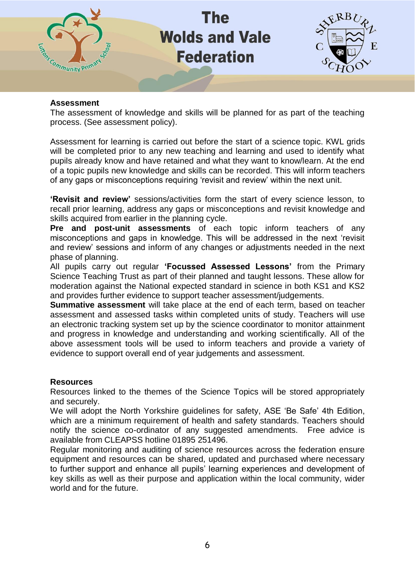

### **Assessment**

The assessment of knowledge and skills will be planned for as part of the teaching process. (See assessment policy).

Assessment for learning is carried out before the start of a science topic. KWL grids will be completed prior to any new teaching and learning and used to identify what pupils already know and have retained and what they want to know/learn. At the end of a topic pupils new knowledge and skills can be recorded. This will inform teachers of any gaps or misconceptions requiring 'revisit and review' within the next unit.

**'Revisit and review'** sessions/activities form the start of every science lesson, to recall prior learning, address any gaps or misconceptions and revisit knowledge and skills acquired from earlier in the planning cycle.

**Pre and post-unit assessments** of each topic inform teachers of any misconceptions and gaps in knowledge. This will be addressed in the next 'revisit and review' sessions and inform of any changes or adjustments needed in the next phase of planning.

All pupils carry out regular **'Focussed Assessed Lessons'** from the Primary Science Teaching Trust as part of their planned and taught lessons. These allow for moderation against the National expected standard in science in both KS1 and KS2 and provides further evidence to support teacher assessment/judgements.

**Summative assessment** will take place at the end of each term, based on teacher assessment and assessed tasks within completed units of study. Teachers will use an electronic tracking system set up by the science coordinator to monitor attainment and progress in knowledge and understanding and working scientifically. All of the above assessment tools will be used to inform teachers and provide a variety of evidence to support overall end of year judgements and assessment.

#### **Resources**

Resources linked to the themes of the Science Topics will be stored appropriately and securely.

We will adopt the North Yorkshire guidelines for safety, ASE 'Be Safe' 4th Edition, which are a minimum requirement of health and safety standards. Teachers should notify the science co-ordinator of any suggested amendments. Free advice is available from CLEAPSS hotline 01895 251496.

Regular monitoring and auditing of science resources across the federation ensure equipment and resources can be shared, updated and purchased where necessary to further support and enhance all pupils' learning experiences and development of key skills as well as their purpose and application within the local community, wider world and for the future.